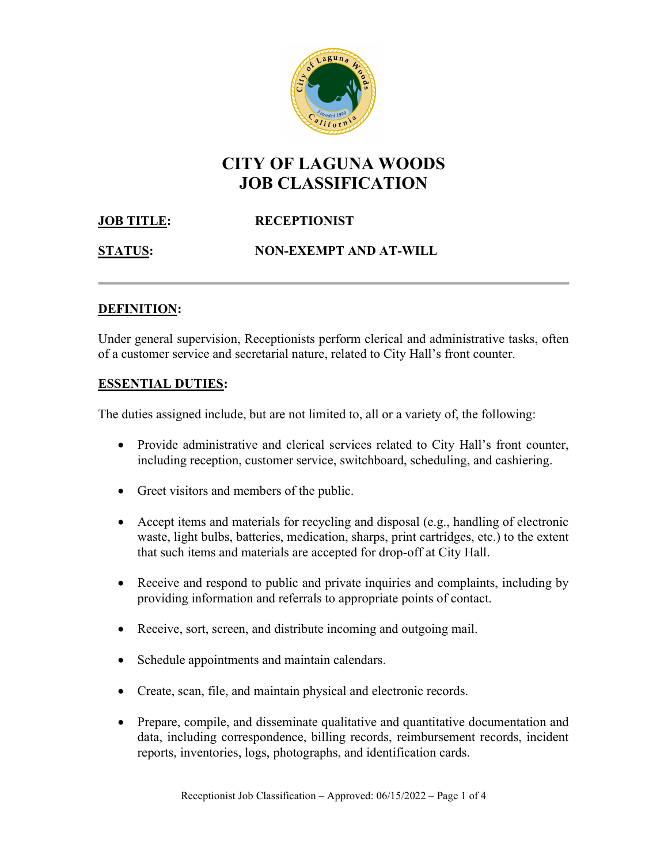

# CITY OF LAGUNA WOODS JOB CLASSIFICATION

# **JOB TITLE:** RECEPTIONIST

STATUS: NON-EXEMPT AND AT-WILL

# DEFINITION:

Under general supervision, Receptionists perform clerical and administrative tasks, often of a customer service and secretarial nature, related to City Hall's front counter.

# ESSENTIAL DUTIES:

The duties assigned include, but are not limited to, all or a variety of, the following:

- Provide administrative and clerical services related to City Hall's front counter, including reception, customer service, switchboard, scheduling, and cashiering.
- Greet visitors and members of the public.
- Accept items and materials for recycling and disposal (e.g., handling of electronic waste, light bulbs, batteries, medication, sharps, print cartridges, etc.) to the extent that such items and materials are accepted for drop-off at City Hall.
- Receive and respond to public and private inquiries and complaints, including by providing information and referrals to appropriate points of contact.
- Receive, sort, screen, and distribute incoming and outgoing mail.
- Schedule appointments and maintain calendars.
- Create, scan, file, and maintain physical and electronic records.
- Prepare, compile, and disseminate qualitative and quantitative documentation and data, including correspondence, billing records, reimbursement records, incident reports, inventories, logs, photographs, and identification cards.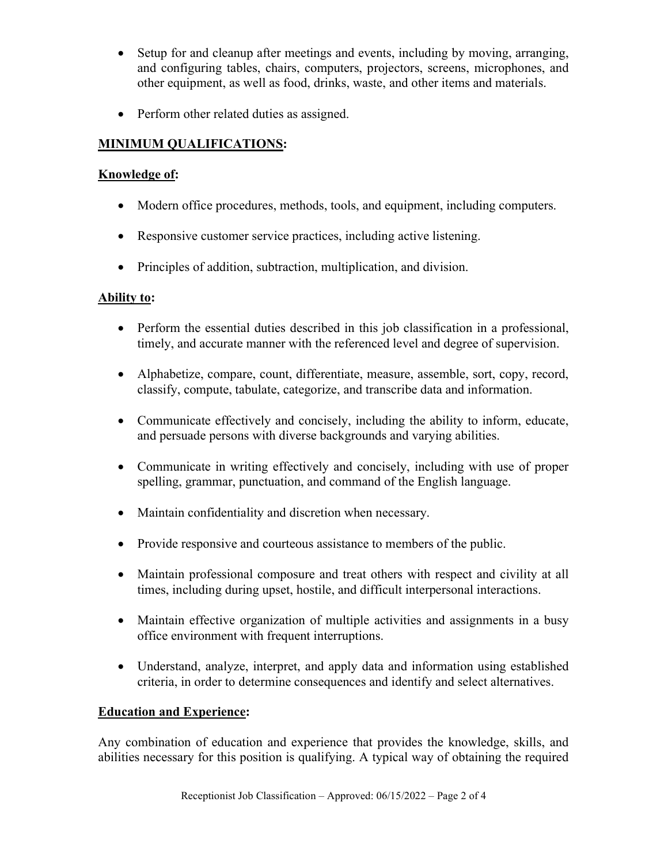- Setup for and cleanup after meetings and events, including by moving, arranging, and configuring tables, chairs, computers, projectors, screens, microphones, and other equipment, as well as food, drinks, waste, and other items and materials.
- Perform other related duties as assigned.

# MINIMUM QUALIFICATIONS:

#### Knowledge of:

- Modern office procedures, methods, tools, and equipment, including computers.
- Responsive customer service practices, including active listening.
- Principles of addition, subtraction, multiplication, and division.

#### Ability to:

- Perform the essential duties described in this job classification in a professional, timely, and accurate manner with the referenced level and degree of supervision.
- Alphabetize, compare, count, differentiate, measure, assemble, sort, copy, record, classify, compute, tabulate, categorize, and transcribe data and information.
- Communicate effectively and concisely, including the ability to inform, educate, and persuade persons with diverse backgrounds and varying abilities.
- Communicate in writing effectively and concisely, including with use of proper spelling, grammar, punctuation, and command of the English language.
- Maintain confidentiality and discretion when necessary.
- Provide responsive and courteous assistance to members of the public.
- Maintain professional composure and treat others with respect and civility at all times, including during upset, hostile, and difficult interpersonal interactions.
- Maintain effective organization of multiple activities and assignments in a busy office environment with frequent interruptions.
- Understand, analyze, interpret, and apply data and information using established criteria, in order to determine consequences and identify and select alternatives.

#### Education and Experience:

Any combination of education and experience that provides the knowledge, skills, and abilities necessary for this position is qualifying. A typical way of obtaining the required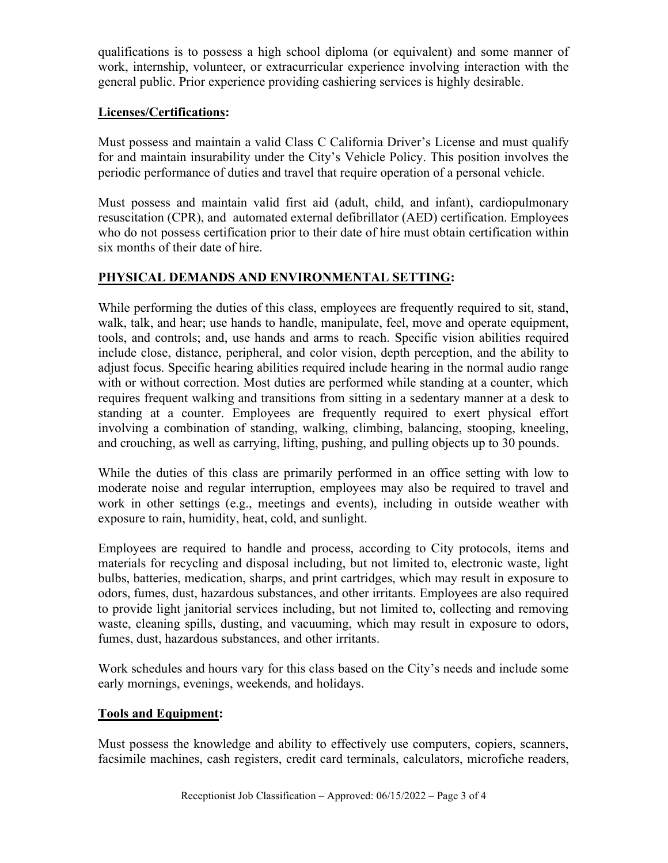qualifications is to possess a high school diploma (or equivalent) and some manner of work, internship, volunteer, or extracurricular experience involving interaction with the general public. Prior experience providing cashiering services is highly desirable.

### Licenses/Certifications:

Must possess and maintain a valid Class C California Driver's License and must qualify for and maintain insurability under the City's Vehicle Policy. This position involves the periodic performance of duties and travel that require operation of a personal vehicle.

Must possess and maintain valid first aid (adult, child, and infant), cardiopulmonary resuscitation (CPR), and automated external defibrillator (AED) certification. Employees who do not possess certification prior to their date of hire must obtain certification within six months of their date of hire.

# PHYSICAL DEMANDS AND ENVIRONMENTAL SETTING:

While performing the duties of this class, employees are frequently required to sit, stand, walk, talk, and hear; use hands to handle, manipulate, feel, move and operate equipment, tools, and controls; and, use hands and arms to reach. Specific vision abilities required include close, distance, peripheral, and color vision, depth perception, and the ability to adjust focus. Specific hearing abilities required include hearing in the normal audio range with or without correction. Most duties are performed while standing at a counter, which requires frequent walking and transitions from sitting in a sedentary manner at a desk to standing at a counter. Employees are frequently required to exert physical effort involving a combination of standing, walking, climbing, balancing, stooping, kneeling, and crouching, as well as carrying, lifting, pushing, and pulling objects up to 30 pounds.

While the duties of this class are primarily performed in an office setting with low to moderate noise and regular interruption, employees may also be required to travel and work in other settings (e.g., meetings and events), including in outside weather with exposure to rain, humidity, heat, cold, and sunlight.

Employees are required to handle and process, according to City protocols, items and materials for recycling and disposal including, but not limited to, electronic waste, light bulbs, batteries, medication, sharps, and print cartridges, which may result in exposure to odors, fumes, dust, hazardous substances, and other irritants. Employees are also required to provide light janitorial services including, but not limited to, collecting and removing waste, cleaning spills, dusting, and vacuuming, which may result in exposure to odors, fumes, dust, hazardous substances, and other irritants.

Work schedules and hours vary for this class based on the City's needs and include some early mornings, evenings, weekends, and holidays.

#### Tools and Equipment:

Must possess the knowledge and ability to effectively use computers, copiers, scanners, facsimile machines, cash registers, credit card terminals, calculators, microfiche readers,